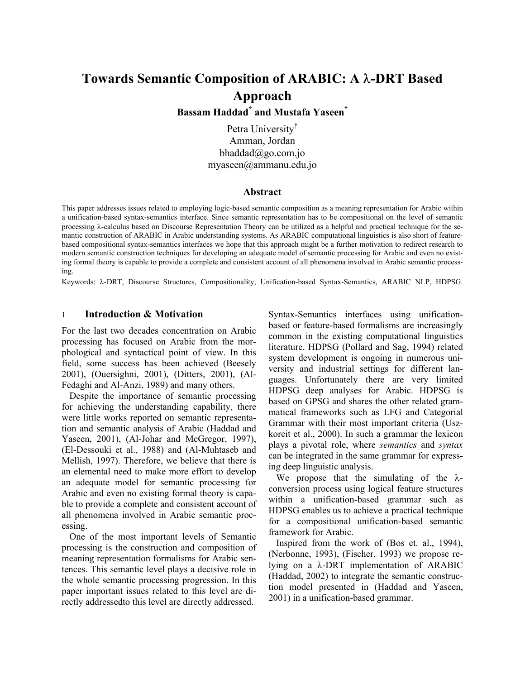# **Towards Semantic Composition of ARABIC: A** λ**-DRT Based Approach**

**Bassam Haddad† and Mustafa Yaseen†**

Petra University<sup>†</sup> Amman, Jordan bhaddad $(a)$ go.com.jo myaseen@ammanu.edu.jo

#### **Abstract**

This paper addresses issues related to employing logic-based semantic composition as a meaning representation for Arabic within a unification-based syntax-semantics interface. Since semantic representation has to be compositional on the level of semantic processing λ-calculus based on Discourse Representation Theory can be utilized as a helpful and practical technique for the semantic construction of ARABIC in Arabic understanding systems. As ARABIC computational linguistics is also short of featurebased compositional syntax-semantics interfaces we hope that this approach might be a further motivation to redirect research to modern semantic construction techniques for developing an adequate model of semantic processing for Arabic and even no existing formal theory is capable to provide a complete and consistent account of all phenomena involved in Arabic semantic processing.

Keywords: λ-DRT, Discourse Structures, Compositionality, Unification-based Syntax-Semantics, ARABIC NLP, HDPSG.

#### 1 **Introduction & Motivation**

For the last two decades concentration on Arabic processing has focused on Arabic from the morphological and syntactical point of view. In this field, some success has been achieved (Beesely 2001), (Ouersighni, 2001), (Ditters, 2001), (Al-Fedaghi and Al-Anzi, 1989) and many others.

 Despite the importance of semantic processing for achieving the understanding capability, there were little works reported on semantic representation and semantic analysis of Arabic (Haddad and Yaseen, 2001), (Al-Johar and McGregor, 1997), (El-Dessouki et al., 1988) and (Al-Muhtaseb and Mellish, 1997). Therefore, we believe that there is an elemental need to make more effort to develop an adequate model for semantic processing for Arabic and even no existing formal theory is capable to provide a complete and consistent account of all phenomena involved in Arabic semantic processing.

 One of the most important levels of Semantic processing is the construction and composition of meaning representation formalisms for Arabic sentences. This semantic level plays a decisive role in the whole semantic processing progression. In this paper important issues related to this level are directly addressedto this level are directly addressed.

Syntax-Semantics interfaces using unificationbased or feature-based formalisms are increasingly common in the existing computational linguistics literature. HDPSG (Pollard and Sag, 1994) related system development is ongoing in numerous university and industrial settings for different languages. Unfortunately there are very limited HDPSG deep analyses for Arabic. HDPSG is based on GPSG and shares the other related grammatical frameworks such as LFG and Categorial Grammar with their most important criteria (Uszkoreit et al., 2000). In such a grammar the lexicon plays a pivotal role, where *semantics* and *syntax* can be integrated in the same grammar for expressing deep linguistic analysis.

We propose that the simulating of the  $\lambda$ conversion process using logical feature structures within a unification-based grammar such as HDPSG enables us to achieve a practical technique for a compositional unification-based semantic framework for Arabic.

 Inspired from the work of (Bos et. al., 1994), (Nerbonne, 1993), (Fischer, 1993) we propose relying on a λ-DRT implementation of ARABIC (Haddad, 2002) to integrate the semantic construction model presented in (Haddad and Yaseen, 2001) in a unification-based grammar.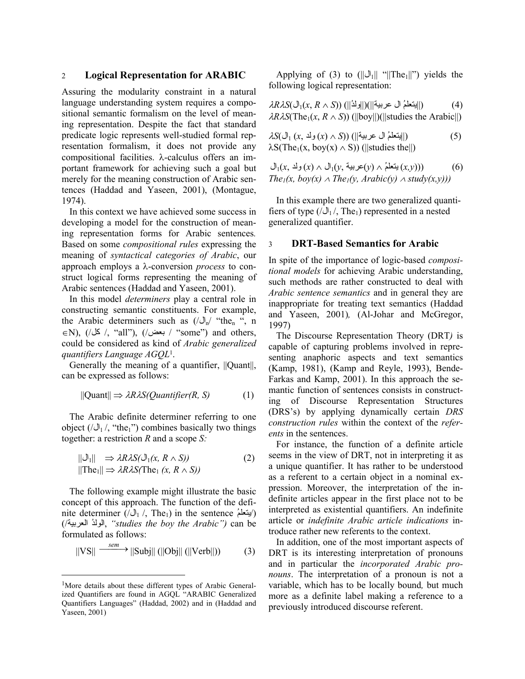## 2 **Logical Representation for ARABIC**

Assuring the modularity constraint in a natural language understanding system requires a compositional semantic formalism on the level of meaning representation. Despite the fact that standard predicate logic represents well-studied formal representation formalism, it does not provide any compositional facilities. λ-calculus offers an important framework for achieving such a goal but merely for the meaning construction of Arabic sentences (Haddad and Yaseen, 2001), (Montague, 1974).

 In this context we have achieved some success in developing a model for the construction of meaning representation forms for Arabic sentences*.* Based on some *compositional rules* expressing the meaning of *syntactical categories of Arabic*, our approach employs a λ-conversion *process* to construct logical forms representing the meaning of Arabic sentences (Haddad and Yaseen, 2001).

 In this model *determiners* play a central role in constructing semantic constituents. For example, the Arabic determiners such as  $(\sqrt{J_n})$  "the<sub>n</sub>", n  $\in$ N), ( $\angle \&$  /, "all"), (/بعض) + "some") and others, could be considered as kind of *Arabic generalized quantifiers Language AGQL*1.

Generally the meaning of a quantifier,  $||$ Quant $||$ , can be expressed as follows:

$$
||\text{Quant}|| \Rightarrow \lambda R \lambda S(Quantifier(R, S)) \tag{1}
$$

 The Arabic definite determiner referring to one object  $(\sqrt{J_1}$ , "the<sub>1</sub>") combines basically two things together: a restriction *R* and a scope *S:* 

$$
\begin{array}{ll}\n||\mathbf{U}_1|| \implies \lambda R \lambda S(\mathbf{U}_1(x, R \wedge S)) \\
||\text{The}_1|| \implies \lambda R \lambda S(\text{The}_1 (x, R \wedge S))\n\end{array} \tag{2}
$$

 The following example might illustrate the basic concept of this approach. The function of the definite determiner (/المنعلمُ) in the sentence (/المنعلمُ) (/ , العربية ُالولد*" studies the boy the Arabic")* can be formulated as follows:

$$
\|\text{VS}\| \xrightarrow{\text{sem}} \|\text{Subj}\| \left( \|\text{Obj}\| \left( \|\text{Verb}\| \right) \right) \tag{3}
$$

l

Applying of (3) to  $(||\mathcal{J}_1||$  " $||\text{The}_1||$ ") yields the following logical representation:

$$
\lambda R \lambda S(\bigcup_{1} (x, R \wedge S)) \left( ||\bigcup_{1}^{k} ||\bigcup_{1}^{k} ||\bigcup_{1}^{k} ||\bigcup_{1}^{k} ||\bigcup_{1}^{k} ||\bigcup_{1}^{k} ||\bigcup_{1}^{k} ||\bigcup_{1}^{k} ||\bigcup_{1}^{k} ||\bigcup_{1}^{k} ||\bigcup_{1}^{k} ||\bigcup_{1}^{k} ||\bigcup_{1}^{k} ||\bigcup_{1}^{k} ||\bigcup_{1}^{k} ||\bigcup_{1}^{k} ||\bigcup_{1}^{k} ||\bigcup_{1}^{k} ||\bigcup_{1}^{k} ||\bigcup_{1}^{k} ||\bigcup_{1}^{k} ||\bigcup_{1}^{k} ||\bigcup_{1}^{k} ||\bigcup_{1}^{k} ||\bigcup_{1}^{k} ||\bigcup_{1}^{k} ||\bigcup_{1}^{k} ||\bigcup_{1}^{k} ||\bigcup_{1}^{k} ||\bigcup_{1}^{k} ||\bigcup_{1}^{k} ||\bigcup_{1}^{k} ||\bigcup_{1}^{k} ||\bigcup_{1}^{k} ||\bigcup_{1}^{k} ||\bigcup_{1}^{k} ||\bigcup_{1}^{k} ||\bigcup_{1}^{k} ||\bigcup_{1}^{k} ||\bigcup_{1}^{k} ||\bigcup_{1}^{k} ||\bigcup_{1}^{k} ||\bigcup_{1}^{k} ||\bigcup_{1}^{k} ||\bigcup_{1}^{k} ||\bigcup_{1}^{k} ||\bigcup_{1}^{k} ||\bigcup_{1}^{k} ||\bigcup_{1}^{k} ||\bigcup_{1}^{k} ||\bigcup_{1}^{k} ||\bigcup_{1}^{k} ||\bigcup_{1}^{k} ||\bigcup_{1}^{k} ||\bigcup_{1}^{k} ||\bigcup_{1}^{k} ||\bigcup_{1}^{k} ||\bigcup_{1}^{k} ||\bigcup_{1}^{k} ||\bigcup_{1}^{k} ||\bigcup_{1}^{k} ||\bigcup_{1}^{k} ||\bigcup_{1}^{k} ||\bigcup_{1}^{k} ||\bigcup_{1}^{k} ||\bigcup_{1}^{k} ||\bigcup_{1}^{k} ||\bigcup_{1}^{k} ||\bigcup_{1}^{k} ||\bigcup_{1}^{k} ||\bigcup_{1}^{k} ||\bigcup_{1}^{k} ||\bigcup_{1}^{k} ||\bigcup_{
$$

$$
\lambda S(\bigcup_{1} (x, \bigcup_{2} (x) \wedge S)) \left( ||\text{grad} \bigcup_{1} (x, \bigcup_{2} (x) \wedge S) \right) \left( ||\text{studies the}|| \right) \tag{5}
$$
\n
$$
\lambda S(\text{The}_1(x, \text{boy}(x) \wedge S)) \left( ||\text{studies the}|| \right)
$$

$$
\bigcup_{1}(x, \Delta_{\mathcal{I}}(y) \wedge \Delta_{\mathcal{I}}(y, \Delta_{\mathcal{I}}(y)) \wedge (x, y)))
$$
\n
$$
\bigcap_{1}(x, \text{boy}(x) \wedge \text{The}_1(y, \text{Arabic}(y) \wedge \text{study}(x, y)))
$$

 In this example there are two generalized quantifiers of type  $(\sqrt{J_1}$ , The<sub>1</sub>) represented in a nested generalized quantifier.

#### 3 **DRT-Based Semantics for Arabic**

In spite of the importance of logic-based *compositional models* for achieving Arabic understanding, such methods are rather constructed to deal with *Arabic sentence semantics* and in general they are inappropriate for treating text semantics (Haddad and Yaseen, 2001)*,* (Al-Johar and McGregor, 1997)

 The Discourse Representation Theory (DRT*)* is capable of capturing problems involved in representing anaphoric aspects and text semantics (Kamp, 1981), (Kamp and Reyle, 1993), Bende-Farkas and Kamp, 2001). In this approach the semantic function of sentences consists in constructing of Discourse Representation Structures (DRS's) by applying dynamically certain *DRS construction rules* within the context of the *referents* in the sentences.

 For instance, the function of a definite article seems in the view of DRT, not in interpreting it as a unique quantifier. It has rather to be understood as a referent to a certain object in a nominal expression. Moreover, the interpretation of the indefinite articles appear in the first place not to be interpreted as existential quantifiers. An indefinite article or *indefinite Arabic article indications* introduce rather new referents to the context.

 In addition, one of the most important aspects of DRT is its interesting interpretation of pronouns and in particular the *incorporated Arabic pronouns*. The interpretation of a pronoun is not a variable, which has to be locally bound*,* but much more as a definite label making a reference to a previously introduced discourse referent.

<sup>&</sup>lt;sup>1</sup>More details about these different types of Arabic Generalized Quantifiers are found in AGQL "ARABIC Generalized Quantifiers Languages" (Haddad, 2002) and in (Haddad and Yaseen, 2001)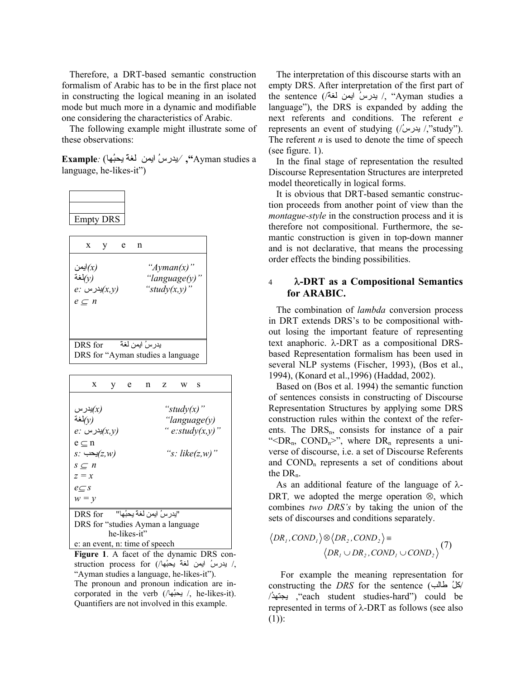Therefore, a DRT-based semantic construction formalism of Arabic has to be in the first place not in constructing the logical meaning in an isolated mode but much more in a dynamic and modifiable one considering the characteristics of Arabic.

 The following example might illustrate some of these observations:

 a studies Ayman**",** /يدرسُ ايمن لغةً يحبُها) *:***Example** language, he-likes-it")

| Empty DRS |
|-----------|

| X                                                                   |                     | е | n                                                        |
|---------------------------------------------------------------------|---------------------|---|----------------------------------------------------------|
| ايمن $\left( x\right)$<br>لغة $\langle \nu \rangle$<br>$e\subset n$ | $e$ ؛ پدرس $(x, y)$ |   | " $Ayman(x)$ "<br>"language $(y)$ "<br>"study $(x, y)$ " |
| DRS for                                                             |                     |   | يدر سُ ايمن لغة<br>DRS for "Ayman studies a language"    |

|                                                   | X                              | $\mathbf{V}$ | e e |  |  | $n \times w \cdot s$ |                    |  |  |  |
|---------------------------------------------------|--------------------------------|--------------|-----|--|--|----------------------|--------------------|--|--|--|
|                                                   |                                |              |     |  |  |                      |                    |  |  |  |
| يدر س $\left( \text{x}\right)$                    | "study $(x)$ "                 |              |     |  |  |                      |                    |  |  |  |
| لغة $\langle \nu \rangle$<br>"language(y)         |                                |              |     |  |  |                      |                    |  |  |  |
| " $e: \text{study}(x, y)$ "<br>$e$ : بدرس $(x,y)$ |                                |              |     |  |  |                      |                    |  |  |  |
| $e \subset n$                                     |                                |              |     |  |  |                      |                    |  |  |  |
|                                                   | $s$ : پحب $(z,w)$              |              |     |  |  |                      | "s: $like(z, w)$ " |  |  |  |
| $s \subseteq n$                                   |                                |              |     |  |  |                      |                    |  |  |  |
| $z = x$                                           |                                |              |     |  |  |                      |                    |  |  |  |
| $e\subset s$                                      |                                |              |     |  |  |                      |                    |  |  |  |
| $w = y$                                           |                                |              |     |  |  |                      |                    |  |  |  |
| "يدر سُ ايمن لغة بحبُها"<br>DRS for               |                                |              |     |  |  |                      |                    |  |  |  |
| DRS for "studies Ayman a language                 |                                |              |     |  |  |                      |                    |  |  |  |
| he-likes-it"                                      |                                |              |     |  |  |                      |                    |  |  |  |
|                                                   | e: an event, n: time of speech |              |     |  |  |                      |                    |  |  |  |

**Figure 1**. A facet of the dynamic DRS construction process for (/هين لغة يحبُها/) aruction process for "ِAyman studies a language, he-likes-it"). The pronoun and pronoun indication are incorporated in the verb (/ابحبها /, he-likes-it). Quantifiers are not involved in this example.

 The interpretation of this discourse starts with an empty DRS. After interpretation of the first part of the sentence (/أبيدرسُ ايمن لغة // "Ayman studies a language"), the DRS is expanded by adding the next referents and conditions. The referent *e* represents an event of studying (/ $'$ يدرس ,"study"). The referent *n* is used to denote the time of speech (see figure. 1).

 In the final stage of representation the resulted Discourse Representation Structures are interpreted model theoretically in logical forms.

 It is obvious that DRT-based semantic construction proceeds from another point of view than the *montague-style* in the construction process and it is therefore not compositional. Furthermore, the semantic construction is given in top-down manner and is not declarative, that means the processing order effects the binding possibilities.

## 4 λ**-DRT as a Compositional Semantics for ARABIC.**

 The combination of *lambda* conversion process in DRT extends DRS's to be compositional without losing the important feature of representing text anaphoric. λ-DRT as a compositional DRSbased Representation formalism has been used in several NLP systems (Fischer, 1993), (Bos et al., 1994), (Konard et al.,1996) (Haddad, 2002).

 Based on (Bos et al. 1994) the semantic function of sentences consists in constructing of Discourse Representation Structures by applying some DRS construction rules within the context of the referents. The  $DRS_n$ , consists for instance of a pair "< $DR_n$ ,  $COND_n$ >", where  $DR_n$  represents a universe of discourse, i.e. a set of Discourse Referents and COND<sub>n</sub> represents a set of conditions about the  $DR<sub>n</sub>$ .

 As an additional feature of the language of λ-DRT*,* we adopted the merge operation ⊗, which combines *two DRS's* by taking the union of the sets of discourses and conditions separately.

$$
\langle DR_1, COND_1 \rangle \otimes \langle DR_2, COND_2 \rangle = \langle DR_1 \cup DR_2, COND_1 \cup COND_2 \rangle \tag{7}
$$

For example the meaning representation for constructing the *DRS* for the sentence / (طالب ُآل / ,"each student studies-hard") could be ُيجتهد represented in terms of λ-DRT as follows (see also  $(1)$ :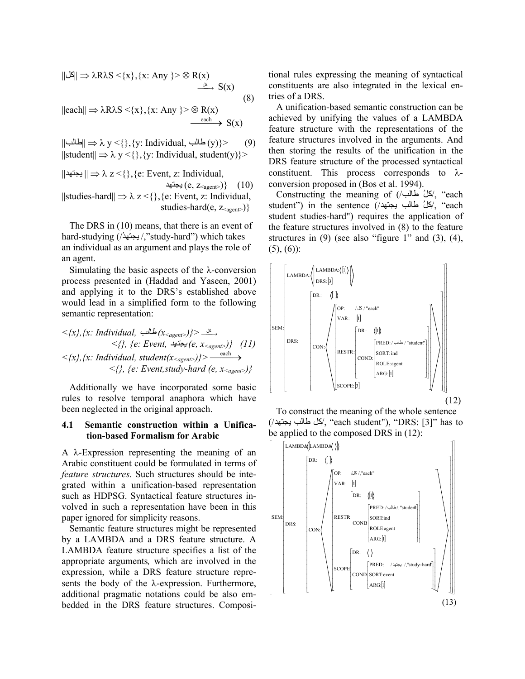$$
\|\mathcal{S}\| \Rightarrow \lambda R\lambda S < \{x\}, \{x: \text{Any } \} > \otimes R(x) \xrightarrow{\delta} S(x) \tag{8}
$$

 $||each|| \Rightarrow \lambda R\lambda S \leq \{x\}, \{x: Any\} > \otimes R(x)$  $\xrightarrow{each} S(x)$ 

 $||\Box|| \Rightarrow \lambda y < \{\}, \{y: \text{Individual, } \Box(y)\} >$  (9)  $||$ student $|| \Rightarrow \lambda y < \{\}, \{y: \text{Individual}, \text{student}(y)\}\rangle$ 

 $|| \rightleftharpoons \lambda z \lt{} \{\},\{e: Event, z: Individual,$ يجتهد  $(e, z_{\text{agent}})$ } (10) ||studies-hard||  $\Rightarrow \lambda z < \{\}, \{e: Event, z: Individual,$ studies-hard(e, z<sub><agent></sub>)}

 The DRS in (10) means, that there is an event of hard-studying (/'بجتهدُ/,"study-hard") which takes an individual as an argument and plays the role of an agent.

Simulating the basic aspects of the  $\lambda$ -conversion process presented in (Haddad and Yaseen, 2001) and applying it to the DRS's established above would lead in a simplified form to the following semantic representation:

$$
\langle x, \{x\}: \text{Individual, } \exists \text{ s.t. } (x_{\text{agent}}) \} > \exists
$$
\n
$$
\langle \{y, \{e: \text{Event, } \} \} \rangle = \langle x_{\text{agent}} \rangle \} (11)
$$
\n
$$
\langle x, \{x\}: \text{Individual, student}(x_{\text{agent}}) \} > \text{each}
$$
\n
$$
\langle \{y, \{e: \text{Event, study-hard}(e, x_{\text{agent}}) \} \} \rangle
$$

 Additionally we have incorporated some basic rules to resolve temporal anaphora which have been neglected in the original approach.

#### **4.1 Semantic construction within a Unification-based Formalism for Arabic**

A λ-Expression representing the meaning of an Arabic constituent could be formulated in terms of *feature structures*. Such structures should be integrated within a unification-based representation such as HDPSG. Syntactical feature structures involved in such a representation have been in this paper ignored for simplicity reasons.

 Semantic feature structures might be represented by a LAMBDA and a DRS feature structure. A LAMBDA feature structure specifies a list of the appropriate arguments*,* which are involved in the expression, while a DRS feature structure represents the body of the λ-expression. Furthermore, additional pragmatic notations could be also embedded in the DRS feature structures. Compositional rules expressing the meaning of syntactical constituents are also integrated in the lexical entries of a DRS.

 A unification-based semantic construction can be achieved by unifying the values of a LAMBDA feature structure with the representations of the feature structures involved in the arguments. And then storing the results of the unification in the DRS feature structure of the processed syntactical constituent. This process corresponds to  $\lambda$ conversion proposed in (Bos et al. 1994).

Constructing the meaning of (/حالُ طَالب/) 4x, "each student") in the sentence (/حَلْ طالب بِجتهد/, "each student studies-hard") requires the application of the feature structures involved in (8) to the feature structures in  $(9)$  (see also "figure 1" and  $(3)$ ,  $(4)$ ,  $(5)$ ,  $(6)$ :





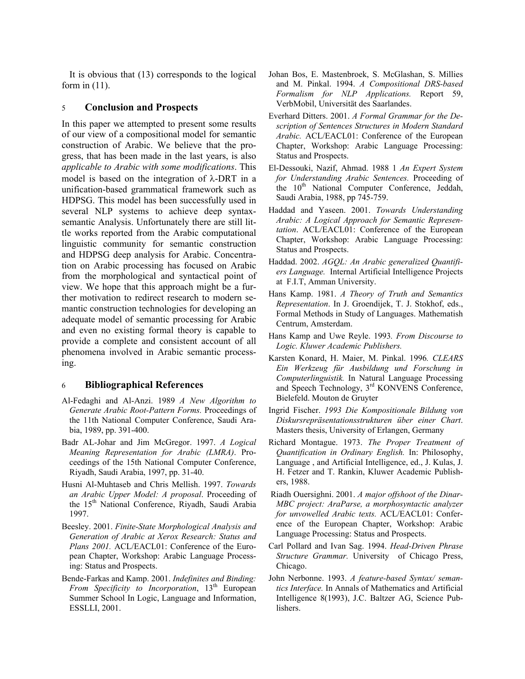It is obvious that (13) corresponds to the logical form in (11).

## 5 **Conclusion and Prospects**

In this paper we attempted to present some results of our view of a compositional model for semantic construction of Arabic. We believe that the progress, that has been made in the last years, is also *applicable to Arabic with some modifications*. This model is based on the integration of  $\lambda$ -DRT in a unification-based grammatical framework such as HDPSG. This model has been successfully used in several NLP systems to achieve deep syntaxsemantic Analysis. Unfortunately there are still little works reported from the Arabic computational linguistic community for semantic construction and HDPSG deep analysis for Arabic. Concentration on Arabic processing has focused on Arabic from the morphological and syntactical point of view. We hope that this approach might be a further motivation to redirect research to modern semantic construction technologies for developing an adequate model of semantic processing for Arabic and even no existing formal theory is capable to provide a complete and consistent account of all phenomena involved in Arabic semantic processing.

# 6 **Bibliographical References**

- Al-Fedaghi and Al-Anzi. 1989 *A New Algorithm to Generate Arabic Root-Pattern Forms.* Proceedings of the 11th National Computer Conference, Saudi Arabia, 1989, pp. 391-400.
- Badr AL-Johar and Jim McGregor. 1997. *A Logical Meaning Representation for Arabic (LMRA)*. Proceedings of the 15th National Computer Conference, Riyadh, Saudi Arabia, 1997, pp. 31-40.
- Husni Al-Muhtaseb and Chris Mellish. 1997. *Towards an Arabic Upper Model: A proposal*. Proceeding of the 15<sup>th</sup> National Conference, Riyadh, Saudi Arabia 1997.
- Beesley. 2001. *Finite-State Morphological Analysis and Generation of Arabic at Xerox Research: Status and Plans 2001.* ACL/EACL01: Conference of the European Chapter, Workshop: Arabic Language Processing: Status and Prospects.
- Bende-Farkas and Kamp. 2001. *Indefinites and Binding: From Specificity to Incorporation*, 13<sup>th</sup> European Summer School In Logic, Language and Information, ESSLLI, 2001.
- Johan Bos, E. Mastenbroek, S. McGlashan, S. Millies and M. Pinkal. 1994. *A Compositional DRS-based Formalism for NLP Applications.* Report 59, VerbMobil, Universität des Saarlandes.
- Everhard Ditters. 2001. *A Formal Grammar for the Description of Sentences Structures in Modern Standard Arabic.* ACL/EACL01: Conference of the European Chapter, Workshop: Arabic Language Processing: Status and Prospects.
- El-Dessouki, Nazif, Ahmad. 1988 1 *An Expert System for Understanding Arabic Sentences.* Proceeding of the 10<sup>th</sup> National Computer Conference, Jeddah, Saudi Arabia, 1988, pp 745-759.
- Haddad and Yaseen. 2001. *Towards Understanding Arabic: A Logical Approach for Semantic Representation*. ACL/EACL01: Conference of the European Chapter, Workshop: Arabic Language Processing: Status and Prospects.
- Haddad. 2002. *AGQL: An Arabic generalized Quantifiers Language.* Internal Artificial Intelligence Projects at F.I.T, Amman University.
- Hans Kamp. 1981. *A Theory of Truth and Semantics Representation*. In J. Groendijek, T. J. Stokhof, eds., Formal Methods in Study of Languages. Mathematish Centrum, Amsterdam.
- Hans Kamp and Uwe Reyle. 1993*. From Discourse to Logic. Kluwer Academic Publishers.*
- Karsten Konard, H. Maier, M. Pinkal. 1996*. CLEARS Ein Werkzeug für Ausbildung und Forschung in Computerlinguistik.* In Natural Language Processing and Speech Technology, 3rd KONVENS Conference, Bielefeld. Mouton de Gruyter
- Ingrid Fischer. *1993 Die Kompositionale Bildung von Diskursrepräsentationsstrukturen über einer Chart*. Masters thesis, University of Erlangen, Germany
- Richard Montague. 1973. *The Proper Treatment of Quantification in Ordinary English.* In: Philosophy, Language , and Artificial Intelligence, ed., J. Kulas, J. H. Fetzer and T. Rankin, Kluwer Academic Publishers, 1988.
- Riadh Ouersighni. 2001. *A major offshoot of the Dinar-MBC project: AraParse, a morphosyntactic analyzer for unvowelled Arabic texts.* ACL/EACL01: Conference of the European Chapter, Workshop: Arabic Language Processing: Status and Prospects.
- Carl Pollard and Ivan Sag. 1994. *Head-Driven Phrase Structure Grammar.* University of Chicago Press, Chicago.
- John Nerbonne. 1993. *A feature-based Syntax/ semantics Interface.* In Annals of Mathematics and Artificial Intelligence 8(1993), J.C. Baltzer AG, Science Publishers.